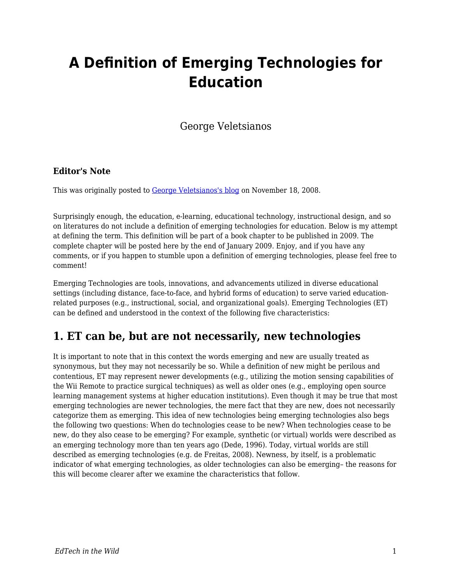# **A Definition of Emerging Technologies for Education**

George Veletsianos

#### **Editor's Note**

This was originally posted to [George Veletsianos's blog](http://www.veletsianos.com/2008/11/18/a-definition-of-emerging-technologies-for-education/) on November 18, 2008.

Surprisingly enough, the education, e-learning, educational technology, instructional design, and so on literatures do not include a definition of emerging technologies for education. Below is my attempt at defining the term. This definition will be part of a book chapter to be published in 2009. The complete chapter will be posted here by the end of January 2009. Enjoy, and if you have any comments, or if you happen to stumble upon a definition of emerging technologies, please feel free to comment!

Emerging Technologies are tools, innovations, and advancements utilized in diverse educational settings (including distance, face-to-face, and hybrid forms of education) to serve varied educationrelated purposes (e.g., instructional, social, and organizational goals). Emerging Technologies (ET) can be defined and understood in the context of the following five characteristics:

#### **1. ET can be, but are not necessarily, new technologies**

It is important to note that in this context the words emerging and new are usually treated as synonymous, but they may not necessarily be so. While a definition of new might be perilous and contentious, ET may represent newer developments (e.g., utilizing the motion sensing capabilities of the Wii Remote to practice surgical techniques) as well as older ones (e.g., employing open source learning management systems at higher education institutions). Even though it may be true that most emerging technologies are newer technologies, the mere fact that they are new, does not necessarily categorize them as emerging. This idea of new technologies being emerging technologies also begs the following two questions: When do technologies cease to be new? When technologies cease to be new, do they also cease to be emerging? For example, synthetic (or virtual) worlds were described as an emerging technology more than ten years ago (Dede, 1996). Today, virtual worlds are still described as emerging technologies (e.g. de Freitas, 2008). Newness, by itself, is a problematic indicator of what emerging technologies, as older technologies can also be emerging– the reasons for this will become clearer after we examine the characteristics that follow.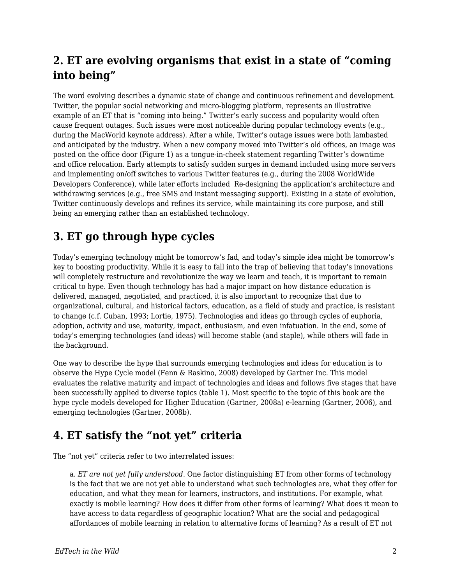### **2. ET are evolving organisms that exist in a state of "coming into being"**

The word evolving describes a dynamic state of change and continuous refinement and development. Twitter, the popular social networking and micro-blogging platform, represents an illustrative example of an ET that is "coming into being." Twitter's early success and popularity would often cause frequent outages. Such issues were most noticeable during popular technology events (e.g., during the MacWorld keynote address). After a while, Twitter's outage issues were both lambasted and anticipated by the industry. When a new company moved into Twitter's old offices, an image was posted on the office door (Figure 1) as a tongue-in-cheek statement regarding Twitter's downtime and office relocation. Early attempts to satisfy sudden surges in demand included using more servers and implementing on/off switches to various Twitter features (e.g., during the 2008 WorldWide Developers Conference), while later efforts included Re-designing the application's architecture and withdrawing services (e.g., free SMS and instant messaging support). Existing in a state of evolution, Twitter continuously develops and refines its service, while maintaining its core purpose, and still being an emerging rather than an established technology.

#### **3. ET go through hype cycles**

Today's emerging technology might be tomorrow's fad, and today's simple idea might be tomorrow's key to boosting productivity. While it is easy to fall into the trap of believing that today's innovations will completely restructure and revolutionize the way we learn and teach, it is important to remain critical to hype. Even though technology has had a major impact on how distance education is delivered, managed, negotiated, and practiced, it is also important to recognize that due to organizational, cultural, and historical factors, education, as a field of study and practice, is resistant to change (c.f. Cuban, 1993; Lortie, 1975). Technologies and ideas go through cycles of euphoria, adoption, activity and use, maturity, impact, enthusiasm, and even infatuation. In the end, some of today's emerging technologies (and ideas) will become stable (and staple), while others will fade in the background.

One way to describe the hype that surrounds emerging technologies and ideas for education is to observe the Hype Cycle model (Fenn & Raskino, 2008) developed by Gartner Inc. This model evaluates the relative maturity and impact of technologies and ideas and follows five stages that have been successfully applied to diverse topics (table 1). Most specific to the topic of this book are the hype cycle models developed for Higher Education (Gartner, 2008a) e-learning (Gartner, 2006), and emerging technologies (Gartner, 2008b).

## **4. ET satisfy the "not yet" criteria**

The "not yet" criteria refer to two interrelated issues:

a. *ET are not yet fully understood*. One factor distinguishing ET from other forms of technology is the fact that we are not yet able to understand what such technologies are, what they offer for education, and what they mean for learners, instructors, and institutions. For example, what exactly is mobile learning? How does it differ from other forms of learning? What does it mean to have access to data regardless of geographic location? What are the social and pedagogical affordances of mobile learning in relation to alternative forms of learning? As a result of ET not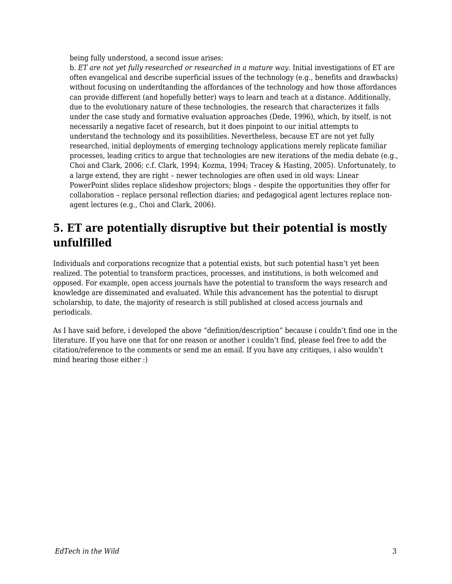being fully understood, a second issue arises:

b. *ET are not yet fully researched or researched in a mature way*. Initial investigations of ET are often evangelical and describe superficial issues of the technology (e.g., benefits and drawbacks) without focusing on underdtanding the affordances of the technology and how those affordances can provide different (and hopefully better) ways to learn and teach at a distance. Additionally, due to the evolutionary nature of these technologies, the research that characterizes it falls under the case study and formative evaluation approaches (Dede, 1996), which, by itself, is not necessarily a negative facet of research, but it does pinpoint to our initial attempts to understand the technology and its possibilities. Nevertheless, because ET are not yet fully researched, initial deployments of emerging technology applications merely replicate familiar processes, leading critics to argue that technologies are new iterations of the media debate (e.g., Choi and Clark, 2006; c.f. Clark, 1994; Kozma, 1994; Tracey & Hasting, 2005). Unfortunately, to a large extend, they are right – newer technologies are often used in old ways: Linear PowerPoint slides replace slideshow projectors; blogs – despite the opportunities they offer for collaboration – replace personal reflection diaries; and pedagogical agent lectures replace nonagent lectures (e.g., Choi and Clark, 2006).

### **5. ET are potentially disruptive but their potential is mostly unfulfilled**

Individuals and corporations recognize that a potential exists, but such potential hasn't yet been realized. The potential to transform practices, processes, and institutions, is both welcomed and opposed. For example, open access journals have the potential to transform the ways research and knowledge are disseminated and evaluated. While this advancement has the potential to disrupt scholarship, to date, the majority of research is still published at closed access journals and periodicals.

As I have said before, i developed the above "definition/description" because i couldn't find one in the literature. If you have one that for one reason or another i couldn't find, please feel free to add the citation/reference to the comments or send me an email. If you have any critiques, i also wouldn't mind hearing those either :)